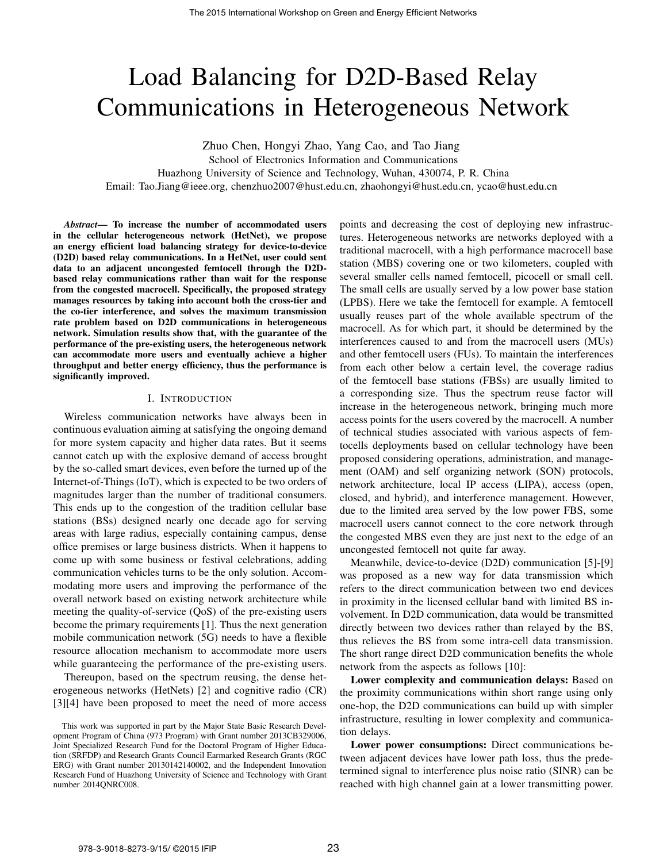# Load Balancing for D2D-Based Relay Communications in Heterogeneous Network

Zhuo Chen, Hongyi Zhao, Yang Cao, and Tao Jiang School of Electronics Information and Communications Huazhong University of Science and Technology, Wuhan, 430074, P. R. China Email: Tao.Jiang@ieee.org, chenzhuo2007@hust.edu.cn, zhaohongyi@hust.edu.cn, ycao@hust.edu.cn

*Abstract***— To increase the number of accommodated users in the cellular heterogeneous network (HetNet), we propose an energy efficient load balancing strategy for device-to-device (D2D) based relay communications. In a HetNet, user could sent data to an adjacent uncongested femtocell through the D2Dbased relay communications rather than wait for the response from the congested macrocell. Specifically, the proposed strategy manages resources by taking into account both the cross-tier and the co-tier interference, and solves the maximum transmission rate problem based on D2D communications in heterogeneous network. Simulation results show that, with the guarantee of the performance of the pre-existing users, the heterogeneous network can accommodate more users and eventually achieve a higher throughput and better energy efficiency, thus the performance is significantly improved.**

## I. INTRODUCTION

Wireless communication networks have always been in continuous evaluation aiming at satisfying the ongoing demand for more system capacity and higher data rates. But it seems cannot catch up with the explosive demand of access brought by the so-called smart devices, even before the turned up of the Internet-of-Things (IoT), which is expected to be two orders of magnitudes larger than the number of traditional consumers. This ends up to the congestion of the tradition cellular base stations (BSs) designed nearly one decade ago for serving areas with large radius, especially containing campus, dense office premises or large business districts. When it happens to come up with some business or festival celebrations, adding communication vehicles turns to be the only solution. Accommodating more users and improving the performance of the overall network based on existing network architecture while meeting the quality-of-service (QoS) of the pre-existing users become the primary requirements [1]. Thus the next generation mobile communication network (5G) needs to have a flexible resource allocation mechanism to accommodate more users while guaranteeing the performance of the pre-existing users.

Thereupon, based on the spectrum reusing, the dense heterogeneous networks (HetNets) [2] and cognitive radio (CR) [3][4] have been proposed to meet the need of more access points and decreasing the cost of deploying new infrastructures. Heterogeneous networks are networks deployed with a traditional macrocell, with a high performance macrocell base station (MBS) covering one or two kilometers, coupled with several smaller cells named femtocell, picocell or small cell. The small cells are usually served by a low power base station (LPBS). Here we take the femtocell for example. A femtocell usually reuses part of the whole available spectrum of the macrocell. As for which part, it should be determined by the interferences caused to and from the macrocell users (MUs) and other femtocell users (FUs). To maintain the interferences from each other below a certain level, the coverage radius of the femtocell base stations (FBSs) are usually limited to a corresponding size. Thus the spectrum reuse factor will increase in the heterogeneous network, bringing much more access points for the users covered by the macrocell. A number of technical studies associated with various aspects of femtocells deployments based on cellular technology have been proposed considering operations, administration, and management (OAM) and self organizing network (SON) protocols, network architecture, local IP access (LIPA), access (open, closed, and hybrid), and interference management. However, due to the limited area served by the low power FBS, some macrocell users cannot connect to the core network through the congested MBS even they are just next to the edge of an uncongested femtocell not quite far away.

Meanwhile, device-to-device (D2D) communication [5]-[9] was proposed as a new way for data transmission which refers to the direct communication between two end devices in proximity in the licensed cellular band with limited BS involvement. In D2D communication, data would be transmitted directly between two devices rather than relayed by the BS, thus relieves the BS from some intra-cell data transmission. The short range direct D2D communication benefits the whole network from the aspects as follows [10]:

**Lower complexity and communication delays:** Based on the proximity communications within short range using only one-hop, the D2D communications can build up with simpler infrastructure, resulting in lower complexity and communication delays.

**Lower power consumptions:** Direct communications between adjacent devices have lower path loss, thus the predetermined signal to interference plus noise ratio (SINR) can be reached with high channel gain at a lower transmitting power.

This work was supported in part by the Major State Basic Research Development Program of China (973 Program) with Grant number 2013CB329006, Joint Specialized Research Fund for the Doctoral Program of Higher Education (SRFDP) and Research Grants Council Earmarked Research Grants (RGC ERG) with Grant number 20130142140002, and the Independent Innovation Research Fund of Huazhong University of Science and Technology with Grant number 2014QNRC008.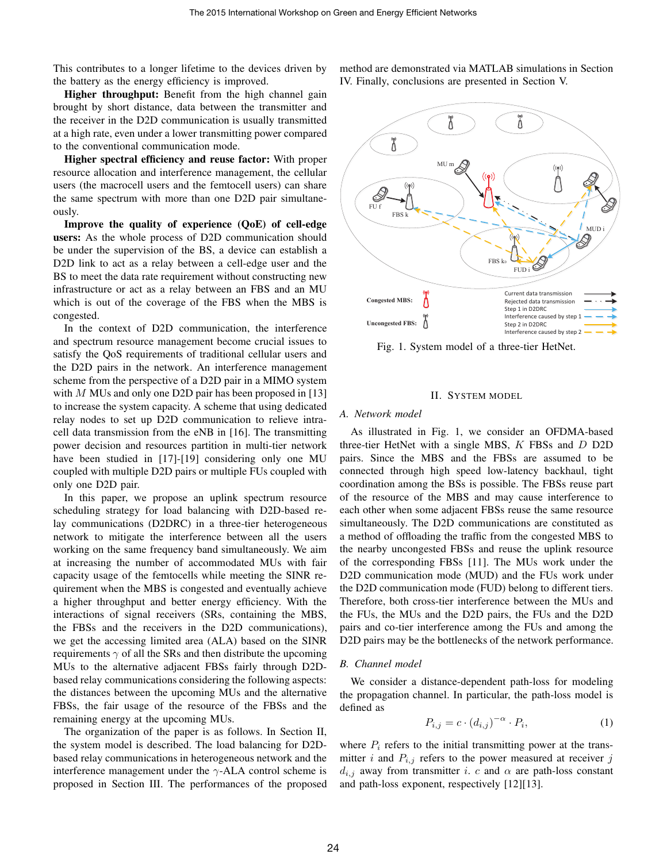This contributes to a longer lifetime to the devices driven by the battery as the energy efficiency is improved.

**Higher throughput:** Benefit from the high channel gain brought by short distance, data between the transmitter and the receiver in the D2D communication is usually transmitted at a high rate, even under a lower transmitting power compared to the conventional communication mode.

**Higher spectral efficiency and reuse factor:** With proper resource allocation and interference management, the cellular users (the macrocell users and the femtocell users) can share the same spectrum with more than one D2D pair simultaneously.

**Improve the quality of experience (QoE) of cell-edge users:** As the whole process of D2D communication should be under the supervision of the BS, a device can establish a D2D link to act as a relay between a cell-edge user and the BS to meet the data rate requirement without constructing new infrastructure or act as a relay between an FBS and an MU which is out of the coverage of the FBS when the MBS is congested.

In the context of D2D communication, the interference and spectrum resource management become crucial issues to satisfy the QoS requirements of traditional cellular users and the D2D pairs in the network. An interference management scheme from the perspective of a D2D pair in a MIMO system with  $M$  MUs and only one D2D pair has been proposed in [13] to increase the system capacity. A scheme that using dedicated relay nodes to set up D2D communication to relieve intracell data transmission from the eNB in [16]. The transmitting power decision and resources partition in multi-tier network have been studied in [17]-[19] considering only one MU coupled with multiple D2D pairs or multiple FUs coupled with only one D2D pair.

In this paper, we propose an uplink spectrum resource scheduling strategy for load balancing with D2D-based relay communications (D2DRC) in a three-tier heterogeneous network to mitigate the interference between all the users working on the same frequency band simultaneously. We aim at increasing the number of accommodated MUs with fair capacity usage of the femtocells while meeting the SINR requirement when the MBS is congested and eventually achieve a higher throughput and better energy efficiency. With the interactions of signal receivers (SRs, containing the MBS, the FBSs and the receivers in the D2D communications), we get the accessing limited area (ALA) based on the SINR requirements  $\gamma$  of all the SRs and then distribute the upcoming MUs to the alternative adjacent FBSs fairly through D2Dbased relay communications considering the following aspects: the distances between the upcoming MUs and the alternative FBSs, the fair usage of the resource of the FBSs and the remaining energy at the upcoming MUs.

The organization of the paper is as follows. In Section II, the system model is described. The load balancing for D2Dbased relay communications in heterogeneous network and the interference management under the  $\gamma$ -ALA control scheme is proposed in Section III. The performances of the proposed method are demonstrated via MATLAB simulations in Section IV. Finally, conclusions are presented in Section V.



Fig. 1. System model of a three-tier HetNet.

#### II. SYSTEM MODEL

#### *A. Network model*

As illustrated in Fig. 1, we consider an OFDMA-based three-tier HetNet with a single MBS,  $K$  FBSs and  $D$  D2D pairs. Since the MBS and the FBSs are assumed to be connected through high speed low-latency backhaul, tight coordination among the BSs is possible. The FBSs reuse part of the resource of the MBS and may cause interference to each other when some adjacent FBSs reuse the same resource simultaneously. The D2D communications are constituted as a method of offloading the traffic from the congested MBS to the nearby uncongested FBSs and reuse the uplink resource of the corresponding FBSs [11]. The MUs work under the D2D communication mode (MUD) and the FUs work under the D2D communication mode (FUD) belong to different tiers. Therefore, both cross-tier interference between the MUs and the FUs, the MUs and the D2D pairs, the FUs and the D2D pairs and co-tier interference among the FUs and among the D2D pairs may be the bottlenecks of the network performance.

#### *B. Channel model*

We consider a distance-dependent path-loss for modeling the propagation channel. In particular, the path-loss model is defined as

$$
P_{i,j} = c \cdot (d_{i,j})^{-\alpha} \cdot P_i,\tag{1}
$$

where  $P_i$  refers to the initial transmitting power at the transmitter i and  $P_{i,j}$  refers to the power measured at receiver j  $d_{i,j}$  away from transmitter i. c and  $\alpha$  are path-loss constant and path-loss exponent, respectively [12][13].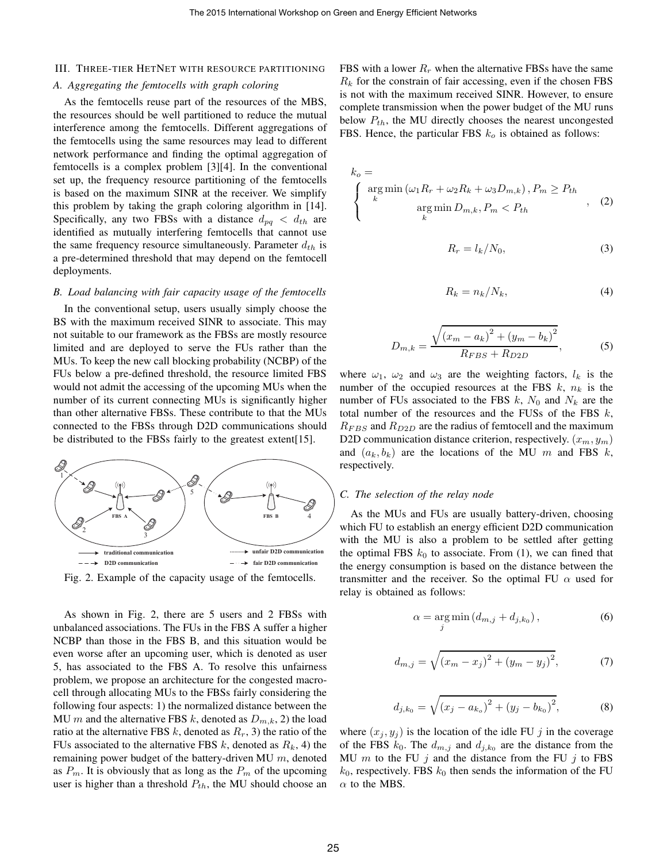#### III. THREE-TIER HETNET WITH RESOURCE PARTITIONING

#### *A. Aggregating the femtocells with graph coloring*

As the femtocells reuse part of the resources of the MBS, the resources should be well partitioned to reduce the mutual interference among the femtocells. Different aggregations of the femtocells using the same resources may lead to different network performance and finding the optimal aggregation of femtocells is a complex problem [3][4]. In the conventional set up, the frequency resource partitioning of the femtocells is based on the maximum SINR at the receiver. We simplify this problem by taking the graph coloring algorithm in [14]. Specifically, any two FBSs with a distance  $d_{pq} < d_{th}$  are identified as mutually interfering femtocells that cannot use the same frequency resource simultaneously. Parameter  $d_{th}$  is a pre-determined threshold that may depend on the femtocell deployments.

### *B. Load balancing with fair capacity usage of the femtocells*

In the conventional setup, users usually simply choose the BS with the maximum received SINR to associate. This may not suitable to our framework as the FBSs are mostly resource limited and are deployed to serve the FUs rather than the MUs. To keep the new call blocking probability (NCBP) of the FUs below a pre-defined threshold, the resource limited FBS would not admit the accessing of the upcoming MUs when the number of its current connecting MUs is significantly higher than other alternative FBSs. These contribute to that the MUs connected to the FBSs through D2D communications should be distributed to the FBSs fairly to the greatest extent[15].



Fig. 2. Example of the capacity usage of the femtocells.

As shown in Fig. 2, there are 5 users and 2 FBSs with unbalanced associations. The FUs in the FBS A suffer a higher NCBP than those in the FBS B, and this situation would be even worse after an upcoming user, which is denoted as user 5, has associated to the FBS A. To resolve this unfairness problem, we propose an architecture for the congested macrocell through allocating MUs to the FBSs fairly considering the following four aspects: 1) the normalized distance between the MU m and the alternative FBS k, denoted as  $D_{m,k}$ , 2) the load ratio at the alternative FBS k, denoted as  $R_r$ , 3) the ratio of the FUs associated to the alternative FBS  $k$ , denoted as  $R_k$ , 4) the remaining power budget of the battery-driven MU  $m$ , denoted as  $P_m$ . It is obviously that as long as the  $P_m$  of the upcoming user is higher than a threshold  $P_{th}$ , the MU should choose an FBS with a lower  $R_r$  when the alternative FBSs have the same  $R_k$  for the constrain of fair accessing, even if the chosen FBS is not with the maximum received SINR. However, to ensure complete transmission when the power budget of the MU runs below  $P_{th}$ , the MU directly chooses the nearest uncongested FBS. Hence, the particular FBS  $k<sub>o</sub>$  is obtained as follows:

$$
k_o = \begin{cases} \arg \min (\omega_1 R_r + \omega_2 R_k + \omega_3 D_{m,k}), P_m \ge P_{th} \\ k & \arg \min_k D_{m,k}, P_m < P_{th} \end{cases}, \quad (2)
$$

$$
R_r = l_k / N_0,\t\t(3)
$$

$$
R_k = n_k / N_k, \tag{4}
$$

$$
D_{m,k} = \frac{\sqrt{(x_m - a_k)^2 + (y_m - b_k)^2}}{R_{FBS} + R_{D2D}},
$$
 (5)

where  $\omega_1$ ,  $\omega_2$  and  $\omega_3$  are the weighting factors,  $l_k$  is the number of the occupied resources at the FBS  $k$ ,  $n_k$  is the number of FUs associated to the FBS  $k$ ,  $N_0$  and  $N_k$  are the total number of the resources and the FUSs of the FBS  $k$ ,  $R_{FBS}$  and  $R_{D2D}$  are the radius of femtocell and the maximum D2D communication distance criterion, respectively.  $(x_m, y_m)$ and  $(a_k, b_k)$  are the locations of the MU m and FBS k, respectively.

### *C. The selection of the relay node*

As the MUs and FUs are usually battery-driven, choosing which FU to establish an energy efficient D2D communication with the MU is also a problem to be settled after getting the optimal FBS  $k_0$  to associate. From (1), we can fined that the energy consumption is based on the distance between the transmitter and the receiver. So the optimal FU  $\alpha$  used for relay is obtained as follows:

$$
\alpha = \underset{j}{\arg \min} \left( d_{m,j} + d_{j,k_0} \right),\tag{6}
$$

$$
d_{m,j} = \sqrt{(x_m - x_j)^2 + (y_m - y_j)^2},
$$
 (7)

$$
d_{j,k_0} = \sqrt{(x_j - a_{k_o})^2 + (y_j - b_{k_0})^2},
$$
 (8)

where  $(x_i, y_j)$  is the location of the idle FU j in the coverage of the FBS  $k_0$ . The  $d_{m,j}$  and  $d_{j,k_0}$  are the distance from the MU  $m$  to the FU  $j$  and the distance from the FU  $j$  to FBS  $k_0$ , respectively. FBS  $k_0$  then sends the information of the FU  $\alpha$  to the MBS.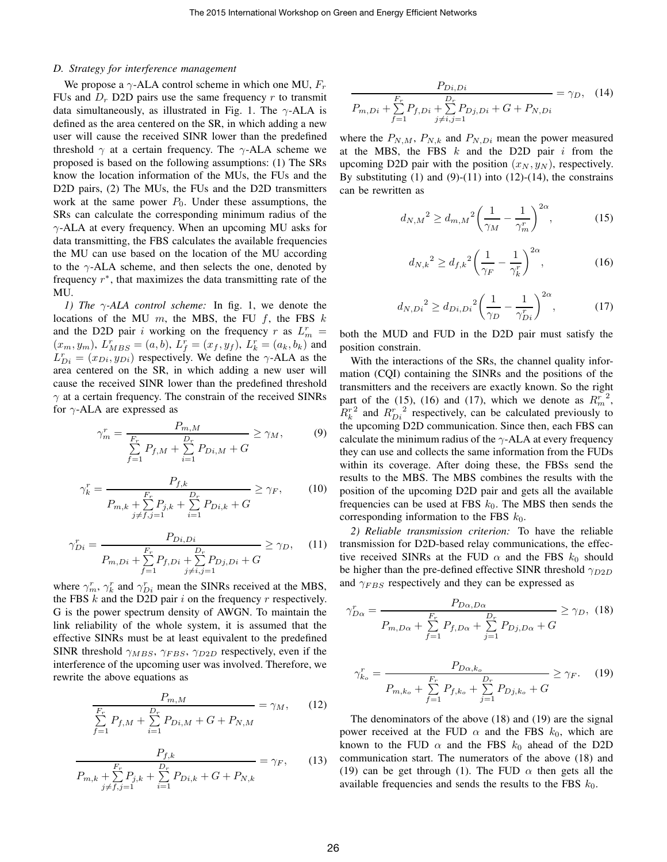#### *D. Strategy for interference management*

We propose a  $\gamma$ -ALA control scheme in which one MU,  $F_r$ FUs and  $D<sub>r</sub>$  D2D pairs use the same frequency r to transmit data simultaneously, as illustrated in Fig. 1. The  $\gamma$ -ALA is defined as the area centered on the SR, in which adding a new user will cause the received SINR lower than the predefined threshold  $\gamma$  at a certain frequency. The  $\gamma$ -ALA scheme we proposed is based on the following assumptions: (1) The SRs know the location information of the MUs, the FUs and the D2D pairs, (2) The MUs, the FUs and the D2D transmitters work at the same power  $P_0$ . Under these assumptions, the SRs can calculate the corresponding minimum radius of the  $\gamma$ -ALA at every frequency. When an upcoming MU asks for data transmitting, the FBS calculates the available frequencies the MU can use based on the location of the MU according to the  $\gamma$ -ALA scheme, and then selects the one, denoted by frequency  $r^*$ , that maximizes the data transmitting rate of the MU.

*1) The* γ*-ALA control scheme:* In fig. 1, we denote the locations of the MU  $m$ , the MBS, the FU  $f$ , the FBS  $k$ and the D2D pair i working on the frequency r as  $L_m^r =$  $(x_m, y_m)$ ,  $L_{MBS}^r = (a, b)$ ,  $L_f^r = (x_f, y_f)$ ,  $L_k^r = (a_k, b_k)$  and  $L_{Di}^r = (x_{Di}, y_{Di})$  respectively. We define the  $\gamma$ -ALA as the area centered on the SR, in which adding a new user will cause the received SINR lower than the predefined threshold  $\gamma$  at a certain frequency. The constrain of the received SINRs for  $\gamma$ -ALA are expressed as

$$
\gamma_m^r = \frac{P_{m,M}}{\sum_{f=1}^F P_{f,M} + \sum_{i=1}^{D_r} P_{Di,M} + G} \ge \gamma_M,
$$
\n(9)

$$
\gamma_k^r = \frac{P_{f,k}}{P_{m,k} + \sum_{j \neq f,j=1}^{F_r} P_{j,k} + \sum_{i=1}^{D_r} P_{Di,k} + G} \ge \gamma_F,\tag{10}
$$

$$
\gamma_{Di}^r = \frac{P_{Di,Di}}{P_{m,Di} + \sum_{f=1}^{F_r} P_{f,Di} + \sum_{j \neq i,j=1}^{D_r} P_{Dj,Di} + G} \ge \gamma_D, \quad (11)
$$

where  $\gamma_m^r$ ,  $\gamma_k^r$  and  $\gamma_{Di}^r$  mean the SINRs received at the MBS, the FBS  $k$  and the D2D pair  $i$  on the frequency  $r$  respectively. G is the power spectrum density of AWGN. To maintain the link reliability of the whole system, it is assumed that the effective SINRs must be at least equivalent to the predefined SINR threshold  $\gamma_{MBS}$ ,  $\gamma_{FBS}$ ,  $\gamma_{D2D}$  respectively, even if the interference of the upcoming user was involved. Therefore, we rewrite the above equations as

$$
\frac{P_{m,M}}{\sum_{f=1}^{F_r} P_{f,M} + \sum_{i=1}^{D_r} P_{Di,M} + G + P_{N,M}} = \gamma_M, \qquad (12)
$$

$$
\frac{P_{f,k}}{P_{m,k} + \sum_{j \neq f,j=1}^{F_r} P_{j,k} + \sum_{i=1}^{D_r} P_{Di,k} + G + P_{N,k}} = \gamma_F, \qquad (13)
$$

$$
\frac{P_{Di,Di}}{P_{m,Di} + \sum_{f=1}^{F_r} P_{f,Di} + \sum_{j \neq i,j=1}^{D_r} P_{Dj,Di} + G + P_{N,Di}} = \gamma_D, \quad (14)
$$

where the  $P_{N,M}$ ,  $P_{N,k}$  and  $P_{N,Di}$  mean the power measured at the MBS, the FBS  $k$  and the D2D pair  $i$  from the upcoming D2D pair with the position  $(x_N, y_N)$ , respectively. By substituting  $(1)$  and  $(9)-(11)$  into  $(12)-(14)$ , the constrains can be rewritten as

$$
d_{N,M}^{2} \ge d_{m,M}^{2} \left(\frac{1}{\gamma_M} - \frac{1}{\gamma_m^r}\right)^{2\alpha},
$$
 (15)

$$
d_{N,k}^{2} \ge d_{f,k}^{2} \left(\frac{1}{\gamma_F} - \frac{1}{\gamma_k^{r}}\right)^{2\alpha},
$$
 (16)

$$
d_{N,Di}^{2} \ge d_{Di,Di}^{2} \left(\frac{1}{\gamma_D} - \frac{1}{\gamma_{Di}^{r}}\right)^{2\alpha},\tag{17}
$$

both the MUD and FUD in the D2D pair must satisfy the position constrain.

With the interactions of the SRs, the channel quality information (CQI) containing the SINRs and the positions of the transmitters and the receivers are exactly known. So the right part of the (15), (16) and (17), which we denote as  $R_m^r$ 2 ,  $R_k^r$ <sup>2</sup> and  $R_{Di}^r$  $2 \n\t\t\t respectively, can be calculated previously to$ the upcoming D2D communication. Since then, each FBS can calculate the minimum radius of the  $\gamma$ -ALA at every frequency they can use and collects the same information from the FUDs within its coverage. After doing these, the FBSs send the results to the MBS. The MBS combines the results with the position of the upcoming D2D pair and gets all the available frequencies can be used at FBS  $k_0$ . The MBS then sends the corresponding information to the FBS  $k_0$ .

*2) Reliable transmission criterion:* To have the reliable transmission for D2D-based relay communications, the effective received SINRs at the FUD  $\alpha$  and the FBS  $k_0$  should be higher than the pre-defined effective SINR threshold  $\gamma_{D2D}$ and  $\gamma_{FBS}$  respectively and they can be expressed as

$$
\gamma_{D\alpha}^r = \frac{P_{D\alpha, D\alpha}}{P_{m,D\alpha} + \sum_{f=1}^{F_r} P_{f,D\alpha} + \sum_{j=1}^{D_r} P_{Dj,D\alpha} + G} \ge \gamma_D, \quad (18)
$$

$$
\gamma_{k_o}^r = \frac{P_{D\alpha,k_o}}{P_{m,k_o} + \sum_{f=1}^{F_r} P_{f,k_o} + \sum_{j=1}^{D_r} P_{Dj,k_o} + G} \ge \gamma_F. \tag{19}
$$

The denominators of the above (18) and (19) are the signal power received at the FUD  $\alpha$  and the FBS  $k_0$ , which are known to the FUD  $\alpha$  and the FBS  $k_0$  ahead of the D2D communication start. The numerators of the above (18) and (19) can be get through (1). The FUD  $\alpha$  then gets all the available frequencies and sends the results to the FBS  $k_0$ .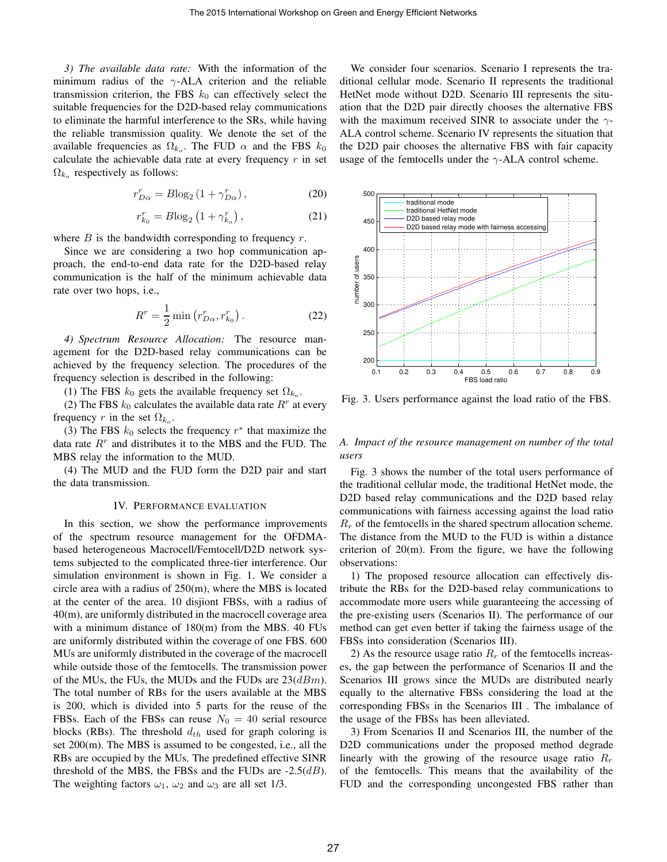*3) The available data rate:* With the information of the minimum radius of the  $\gamma$ -ALA criterion and the reliable transmission criterion, the FBS  $k_0$  can effectively select the suitable frequencies for the D2D-based relay communications to eliminate the harmful interference to the SRs, while having the reliable transmission quality. We denote the set of the available frequencies as  $\Omega_{k_o}$ . The FUD  $\alpha$  and the FBS  $k_0$ calculate the achievable data rate at every frequency  $r$  in set  $\Omega_{k_o}$  respectively as follows:

$$
r_{D\alpha}^r = B \log_2 \left( 1 + \gamma_{D\alpha}^r \right),\tag{20}
$$

$$
r_{k_0}^r = B \log_2 \left( 1 + \gamma_{k_0}^r \right),\tag{21}
$$

where  $B$  is the bandwidth corresponding to frequency  $r$ .

Since we are considering a two hop communication approach, the end-to-end data rate for the D2D-based relay communication is the half of the minimum achievable data rate over two hops, i.e.,

$$
R^r = \frac{1}{2} \min (r_{D\alpha}^r, r_{k_0}^r).
$$
 (22)

*4) Spectrum Resource Allocation:* The resource management for the D2D-based relay communications can be achieved by the frequency selection. The procedures of the frequency selection is described in the following:

(1) The FBS  $k_0$  gets the available frequency set  $\Omega_{k_o}$ .

(2) The FBS  $k_0$  calculates the available data rate  $R<sup>r</sup>$  at every frequency r in the set  $\Omega_{k_o}$ .

(3) The FBS  $k_0$  selects the frequency  $r^*$  that maximize the data rate  $R<sup>r</sup>$  and distributes it to the MBS and the FUD. The MBS relay the information to the MUD.

(4) The MUD and the FUD form the D2D pair and start the data transmission.

#### IV. PERFORMANCE EVALUATION

In this section, we show the performance improvements of the spectrum resource management for the OFDMAbased heterogeneous Macrocell/Femtocell/D2D network systems subjected to the complicated three-tier interference. Our simulation environment is shown in Fig. 1. We consider a circle area with a radius of 250(m), where the MBS is located at the center of the area. 10 disjiont FBSs, with a radius of 40(m), are uniformly distributed in the macrocell coverage area with a minimum distance of 180(m) from the MBS. 40 FUs are uniformly distributed within the coverage of one FBS. 600 MUs are uniformly distributed in the coverage of the macrocell while outside those of the femtocells. The transmission power of the MUs, the FUs, the MUDs and the FUDs are  $23(dBm)$ . The total number of RBs for the users available at the MBS is 200, which is divided into 5 parts for the reuse of the FBSs. Each of the FBSs can reuse  $N_0 = 40$  serial resource blocks (RBs). The threshold  $d_{th}$  used for graph coloring is set 200(m). The MBS is assumed to be congested, i.e., all the RBs are occupied by the MUs. The predefined effective SINR threshold of the MBS, the FBSs and the FUDs are  $-2.5(d)$ . The weighting factors  $\omega_1$ ,  $\omega_2$  and  $\omega_3$  are all set 1/3.

We consider four scenarios. Scenario I represents the traditional cellular mode. Scenario II represents the traditional HetNet mode without D2D. Scenario III represents the situation that the D2D pair directly chooses the alternative FBS with the maximum received SINR to associate under the  $\gamma$ -ALA control scheme. Scenario IV represents the situation that the D2D pair chooses the alternative FBS with fair capacity usage of the femtocells under the  $\gamma$ -ALA control scheme.



Fig. 3. Users performance against the load ratio of the FBS.

# *A. Impact of the resource management on number of the total users*

Fig. 3 shows the number of the total users performance of the traditional cellular mode, the traditional HetNet mode, the D2D based relay communications and the D2D based relay communications with fairness accessing against the load ratio  $R_r$  of the femtocells in the shared spectrum allocation scheme. The distance from the MUD to the FUD is within a distance criterion of  $20(m)$ . From the figure, we have the following observations:

1) The proposed resource allocation can effectively distribute the RBs for the D2D-based relay communications to accommodate more users while guaranteeing the accessing of the pre-existing users (Scenarios II). The performance of our method can get even better if taking the fairness usage of the FBSs into consideration (Scenarios III).

2) As the resource usage ratio  $R_r$  of the femtocells increases, the gap between the performance of Scenarios II and the Scenarios III grows since the MUDs are distributed nearly equally to the alternative FBSs considering the load at the corresponding FBSs in the Scenarios III . The imbalance of the usage of the FBSs has been alleviated.

3) From Scenarios II and Scenarios III, the number of the D2D communications under the proposed method degrade linearly with the growing of the resource usage ratio  $R_r$ of the femtocells. This means that the availability of the FUD and the corresponding uncongested FBS rather than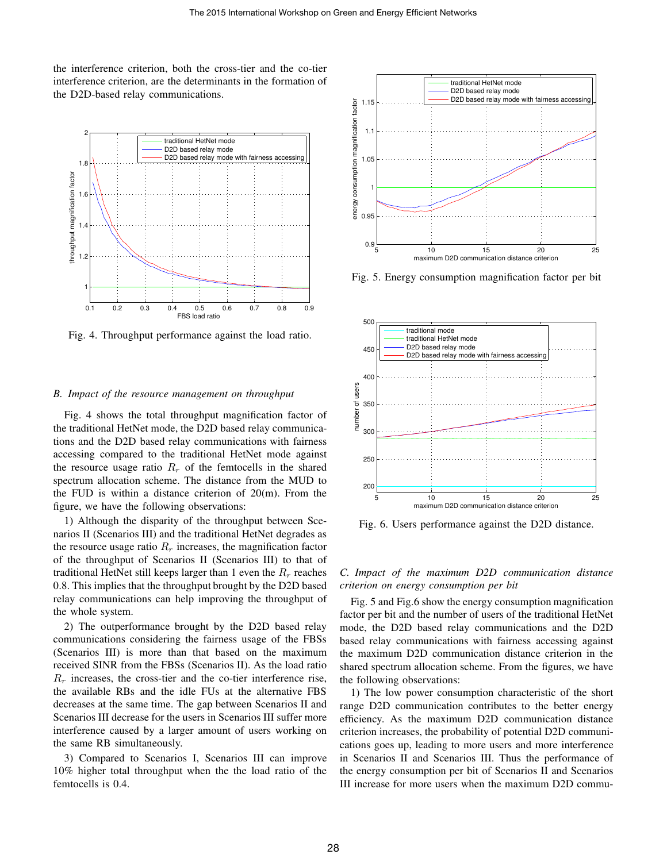the interference criterion, both the cross-tier and the co-tier interference criterion, are the determinants in the formation of the D2D-based relay communications.



Fig. 4. Throughput performance against the load ratio.

#### *B. Impact of the resource management on throughput*

Fig. 4 shows the total throughput magnification factor of the traditional HetNet mode, the D2D based relay communications and the D2D based relay communications with fairness accessing compared to the traditional HetNet mode against the resource usage ratio  $R_r$  of the femtocells in the shared spectrum allocation scheme. The distance from the MUD to the FUD is within a distance criterion of 20(m). From the figure, we have the following observations:

1) Although the disparity of the throughput between Scenarios II (Scenarios III) and the traditional HetNet degrades as the resource usage ratio  $R_r$  increases, the magnification factor of the throughput of Scenarios II (Scenarios III) to that of traditional HetNet still keeps larger than 1 even the  $R_r$  reaches 0.8. This implies that the throughput brought by the D2D based relay communications can help improving the throughput of the whole system.

2) The outperformance brought by the D2D based relay communications considering the fairness usage of the FBSs (Scenarios III) is more than that based on the maximum received SINR from the FBSs (Scenarios II). As the load ratio  $R_r$  increases, the cross-tier and the co-tier interference rise, the available RBs and the idle FUs at the alternative FBS decreases at the same time. The gap between Scenarios II and Scenarios III decrease for the users in Scenarios III suffer more interference caused by a larger amount of users working on the same RB simultaneously.

3) Compared to Scenarios I, Scenarios III can improve 10% higher total throughput when the the load ratio of the femtocells is 0.4.



Fig. 5. Energy consumption magnification factor per bit



Fig. 6. Users performance against the D2D distance.

# *C. Impact of the maximum D2D communication distance criterion on energy consumption per bit*

Fig. 5 and Fig.6 show the energy consumption magnification factor per bit and the number of users of the traditional HetNet mode, the D2D based relay communications and the D2D based relay communications with fairness accessing against the maximum D2D communication distance criterion in the shared spectrum allocation scheme. From the figures, we have the following observations:

1) The low power consumption characteristic of the short range D2D communication contributes to the better energy efficiency. As the maximum D2D communication distance criterion increases, the probability of potential D2D communications goes up, leading to more users and more interference in Scenarios II and Scenarios III. Thus the performance of the energy consumption per bit of Scenarios II and Scenarios III increase for more users when the maximum D2D commu